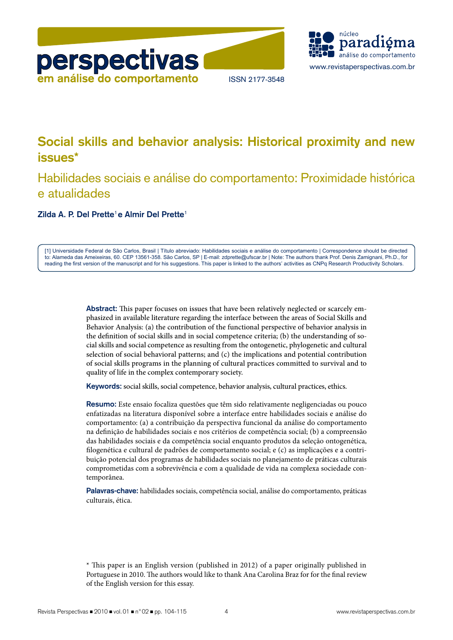



# **Social skills and behavior analysis: Historical proximity and new issues\***

# Habilidades sociais e análise do comportamento: Proximidade histórica e atualidades

**Zilda A. P. Del Prette**<sup>1</sup> **e Almir Del Prette**<sup>1</sup>

[1] Universidade Federal de São Carlos, Brasil | Título abreviado: Habilidades sociais e análise do comportamento | Correspondence should be directed to: Alameda das Ameixeiras, 60. CEP 13561-358. São Carlos, SP | E-mail: zdprette@ufscar.br | Note: The authors thank Prof. Denis Zamignani, Ph.D., for reading the first version of the manuscript and for his suggestions. This paper is linked to the authors' activities as CNPq Research Productivity Scholars.

> **Abstract:** This paper focuses on issues that have been relatively neglected or scarcely emphasized in available literature regarding the interface between the areas of Social Skills and Behavior Analysis: (a) the contribution of the functional perspective of behavior analysis in the definition of social skills and in social competence criteria; (b) the understanding of social skills and social competence as resulting from the ontogenetic, phylogenetic and cultural selection of social behavioral patterns; and (c) the implications and potential contribution of social skills programs in the planning of cultural practices committed to survival and to quality of life in the complex contemporary society.

**Keywords:** social skills, social competence, behavior analysis, cultural practices, ethics.

**Resumo:** Este ensaio focaliza questões que têm sido relativamente negligenciadas ou pouco enfatizadas na literatura disponível sobre a interface entre habilidades sociais e análise do comportamento: (a) a contribuição da perspectiva funcional da análise do comportamento na definição de habilidades sociais e nos critérios de competência social; (b) a compreensão das habilidades sociais e da competência social enquanto produtos da seleção ontogenética, filogenética e cultural de padrões de comportamento social; e (c) as implicações e a contribuição potencial dos programas de habilidades sociais no planejamento de práticas culturais comprometidas com a sobrevivência e com a qualidade de vida na complexa sociedade contemporânea.

**Palavras-chave:** habilidades sociais, competência social, análise do comportamento, práticas culturais, ética.

<sup>\*</sup> This paper is an English version (published in 2012) of a paper originally published in Portuguese in 2010. The authors would like to thank Ana Carolina Braz for for the final review of the English version for this essay.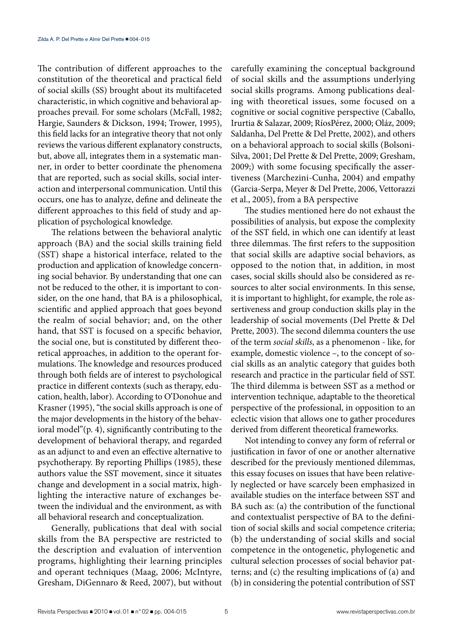The contribution of different approaches to the constitution of the theoretical and practical field of social skills (SS) brought about its multifaceted characteristic, in which cognitive and behavioral approaches prevail. For some scholars (McFall, 1982; Hargie, Saunders & Dickson, 1994; Trower, 1995), this field lacks for an integrative theory that not only reviews the various different explanatory constructs, but, above all, integrates them in a systematic manner, in order to better coordinate the phenomena that are reported, such as social skills, social interaction and interpersonal communication. Until this occurs, one has to analyze, define and delineate the different approaches to this field of study and application of psychological knowledge.

The relations between the behavioral analytic approach (BA) and the social skills training field (SST) shape a historical interface, related to the production and application of knowledge concerning social behavior. By understanding that one can not be reduced to the other, it is important to consider, on the one hand, that BA is a philosophical, scientific and applied approach that goes beyond the realm of social behavior; and, on the other hand, that SST is focused on a specific behavior, the social one, but is constituted by different theoretical approaches, in addition to the operant formulations. The knowledge and resources produced through both fields are of interest to psychological practice in different contexts (such as therapy, education, health, labor). According to O'Donohue and Krasner (1995), "the social skills approach is one of the major developments in the history of the behavioral model"(p. 4), significantly contributing to the development of behavioral therapy, and regarded as an adjunct to and even an effective alternative to psychotherapy. By reporting Phillips (1985), these authors value the SST movement, since it situates change and development in a social matrix, highlighting the interactive nature of exchanges between the individual and the environment, as with all behavioral research and conceptualization.

Generally, publications that deal with social skills from the BA perspective are restricted to the description and evaluation of intervention programs, highlighting their learning principles and operant techniques (Maag, 2006; McIntyre, Gresham, DiGennaro & Reed, 2007), but without carefully examining the conceptual background of social skills and the assumptions underlying social skills programs. Among publications dealing with theoretical issues, some focused on a cognitive or social cognitive perspective (Caballo, Irurtia & Salazar, 2009; RíosPérez, 2000; Oláz, 2009; Saldanha, Del Prette & Del Prette, 2002), and others on a behavioral approach to social skills (Bolsoni-Silva, 2001; Del Prette & Del Prette, 2009; Gresham, 2009;) with some focusing specifically the assertiveness (Marchezini-Cunha, 2004) and empathy (Garcia-Serpa, Meyer & Del Prette, 2006, Vettorazzi et al., 2005), from a BA perspective

The studies mentioned here do not exhaust the possibilities of analysis, but expose the complexity of the SST field, in which one can identify at least three dilemmas. The first refers to the supposition that social skills are adaptive social behaviors, as opposed to the notion that, in addition, in most cases, social skills should also be considered as resources to alter social environments. In this sense, it is important to highlight, for example, the role assertiveness and group conduction skills play in the leadership of social movements (Del Prette & Del Prette, 2003). The second dilemma counters the use of the term *social skills*, as a phenomenon - like, for example, domestic violence –, to the concept of social skills as an analytic category that guides both research and practice in the particular field of SST. The third dilemma is between SST as a method or intervention technique, adaptable to the theoretical perspective of the professional, in opposition to an eclectic vision that allows one to gather procedures derived from different theoretical frameworks.

Not intending to convey any form of referral or justification in favor of one or another alternative described for the previously mentioned dilemmas, this essay focuses on issues that have been relatively neglected or have scarcely been emphasized in available studies on the interface between SST and BA such as: (a) the contribution of the functional and contextualist perspective of BA to the definition of social skills and social competence criteria; (b) the understanding of social skills and social competence in the ontogenetic, phylogenetic and cultural selection processes of social behavior patterns; and (c) the resulting implications of (a) and (b) in considering the potential contribution of SST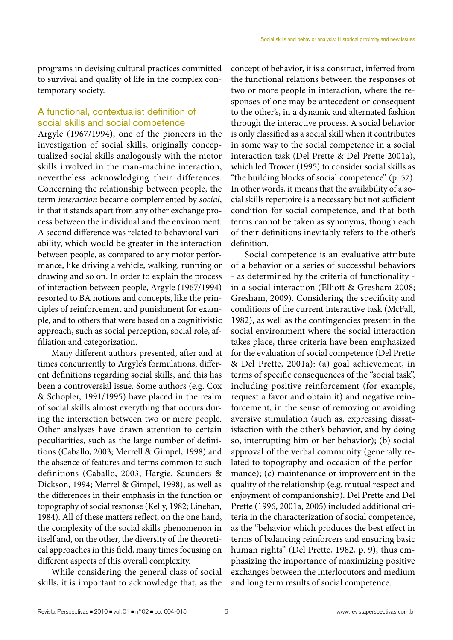programs in devising cultural practices committed to survival and quality of life in the complex contemporary society.

## A functional, contextualist definition of social skills and social competence

Argyle (1967/1994), one of the pioneers in the investigation of social skills, originally conceptualized social skills analogously with the motor skills involved in the man-machine interaction, nevertheless acknowledging their differences. Concerning the relationship between people, the term *interaction* became complemented by *social*, in that it stands apart from any other exchange process between the individual and the environment. A second difference was related to behavioral variability, which would be greater in the interaction between people, as compared to any motor performance, like driving a vehicle, walking, running or drawing and so on. In order to explain the process of interaction between people, Argyle (1967/1994) resorted to BA notions and concepts, like the principles of reinforcement and punishment for example, and to others that were based on a cognitivistic approach, such as social perception, social role, affiliation and categorization.

Many different authors presented, after and at times concurrently to Argyle's formulations, different definitions regarding social skills, and this has been a controversial issue. Some authors (e.g. Cox & Schopler, 1991/1995) have placed in the realm of social skills almost everything that occurs during the interaction between two or more people. Other analyses have drawn attention to certain peculiarities, such as the large number of definitions (Caballo, 2003; Merrell & Gimpel, 1998) and the absence of features and terms common to such definitions (Caballo, 2003; Hargie, Saunders & Dickson, 1994; Merrel & Gimpel, 1998), as well as the differences in their emphasis in the function or topography of social response (Kelly, 1982; Linehan, 1984). All of these matters reflect, on the one hand, the complexity of the social skills phenomenon in itself and, on the other, the diversity of the theoretical approaches in this field, many times focusing on different aspects of this overall complexity.

While considering the general class of social skills, it is important to acknowledge that, as the concept of behavior, it is a construct, inferred from the functional relations between the responses of two or more people in interaction, where the responses of one may be antecedent or consequent to the other's, in a dynamic and alternated fashion through the interactive process. A social behavior is only classified as a social skill when it contributes in some way to the social competence in a social interaction task (Del Prette & Del Prette 2001a), which led Trower (1995) to consider social skills as "the building blocks of social competence" (p. 57). In other words, it means that the availability of a social skills repertoire is a necessary but not sufficient condition for social competence, and that both terms cannot be taken as synonyms, though each of their definitions inevitably refers to the other's definition.

Social competence is an evaluative attribute of a behavior or a series of successful behaviors - as determined by the criteria of functionality in a social interaction (Elliott & Gresham 2008; Gresham, 2009). Considering the specificity and conditions of the current interactive task (McFall, 1982), as well as the contingencies present in the social environment where the social interaction takes place, three criteria have been emphasized for the evaluation of social competence (Del Prette & Del Prette, 2001a): (a) goal achievement, in terms of specific consequences of the "social task", including positive reinforcement (for example, request a favor and obtain it) and negative reinforcement, in the sense of removing or avoiding aversive stimulation (such as, expressing dissatisfaction with the other's behavior, and by doing so, interrupting him or her behavior); (b) social approval of the verbal community (generally related to topography and occasion of the performance); (c) maintenance or improvement in the quality of the relationship (e.g. mutual respect and enjoyment of companionship). Del Prette and Del Prette (1996, 2001a, 2005) included additional criteria in the characterization of social competence, as the "behavior which produces the best effect in terms of balancing reinforcers and ensuring basic human rights" (Del Prette, 1982, p. 9), thus emphasizing the importance of maximizing positive exchanges between the interlocutors and medium and long term results of social competence.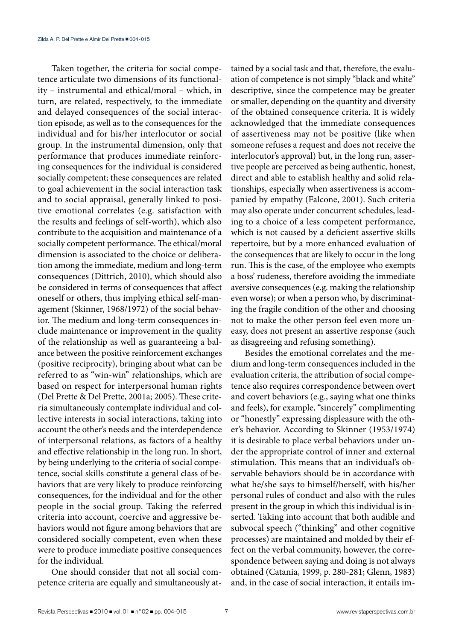Taken together, the criteria for social competence articulate two dimensions of its functionality – instrumental and ethical/moral – which, in turn, are related, respectively, to the immediate and delayed consequences of the social interaction episode, as well as to the consequences for the individual and for his/her interlocutor or social group. In the instrumental dimension, only that performance that produces immediate reinforcing consequences for the individual is considered socially competent; these consequences are related to goal achievement in the social interaction task and to social appraisal, generally linked to positive emotional correlates (e.g. satisfaction with the results and feelings of self-worth), which also contribute to the acquisition and maintenance of a socially competent performance. The ethical/moral dimension is associated to the choice or deliberation among the immediate, medium and long-term consequences (Dittrich, 2010), which should also be considered in terms of consequences that affect oneself or others, thus implying ethical self-management (Skinner, 1968/1972) of the social behavior. The medium and long-term consequences include maintenance or improvement in the quality of the relationship as well as guaranteeing a balance between the positive reinforcement exchanges (positive reciprocity), bringing about what can be referred to as "win-win" relationships, which are based on respect for interpersonal human rights (Del Prette & Del Prette, 2001a; 2005). These criteria simultaneously contemplate individual and collective interests in social interactions, taking into account the other's needs and the interdependence of interpersonal relations, as factors of a healthy and effective relationship in the long run. In short, by being underlying to the criteria of social competence, social skills constitute a general class of behaviors that are very likely to produce reinforcing consequences, for the individual and for the other people in the social group. Taking the referred criteria into account, coercive and aggressive behaviors would not figure among behaviors that are considered socially competent, even when these were to produce immediate positive consequences for the individual.

One should consider that not all social competence criteria are equally and simultaneously attained by a social task and that, therefore, the evaluation of competence is not simply "black and white" descriptive, since the competence may be greater or smaller, depending on the quantity and diversity of the obtained consequence criteria. It is widely acknowledged that the immediate consequences of assertiveness may not be positive (like when someone refuses a request and does not receive the interlocutor's approval) but, in the long run, assertive people are perceived as being authentic, honest, direct and able to establish healthy and solid relationships, especially when assertiveness is accompanied by empathy (Falcone, 2001). Such criteria may also operate under concurrent schedules, leading to a choice of a less competent performance, which is not caused by a deficient assertive skills repertoire, but by a more enhanced evaluation of the consequences that are likely to occur in the long run. This is the case, of the employee who exempts a boss' rudeness, therefore avoiding the immediate aversive consequences (e.g. making the relationship even worse); or when a person who, by discriminating the fragile condition of the other and choosing not to make the other person feel even more uneasy, does not present an assertive response (such as disagreeing and refusing something).

Besides the emotional correlates and the medium and long-term consequences included in the evaluation criteria, the attribution of social competence also requires correspondence between overt and covert behaviors (e.g., saying what one thinks and feels), for example, "sincerely" complimenting or "honestly" expressing displeasure with the other's behavior. According to Skinner (1953/1974) it is desirable to place verbal behaviors under under the appropriate control of inner and external stimulation. This means that an individual's observable behaviors should be in accordance with what he/she says to himself/herself, with his/her personal rules of conduct and also with the rules present in the group in which this individual is inserted. Taking into account that both audible and subvocal speech ("thinking" and other cognitive processes) are maintained and molded by their effect on the verbal community, however, the correspondence between saying and doing is not always obtained (Catania, 1999, p. 280-281; Glenn, 1983) and, in the case of social interaction, it entails im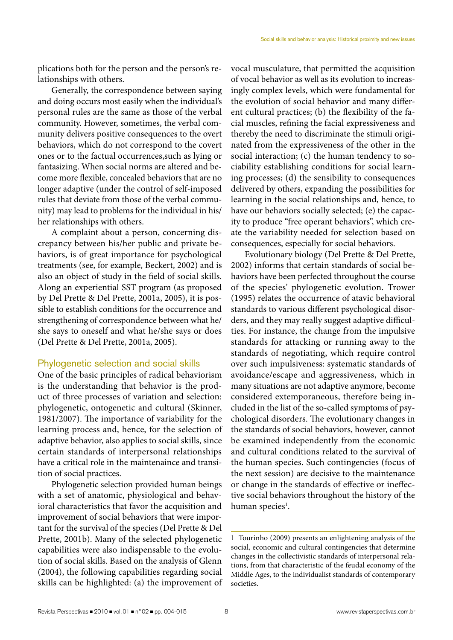plications both for the person and the person's relationships with others.

Generally, the correspondence between saying and doing occurs most easily when the individual's personal rules are the same as those of the verbal community. However, sometimes, the verbal community delivers positive consequences to the overt behaviors, which do not correspond to the covert ones or to the factual occurrences,such as lying or fantasizing. When social norms are altered and become more flexible, concealed behaviors that are no longer adaptive (under the control of self-imposed rules that deviate from those of the verbal community) may lead to problems for the individual in his/ her relationships with others.

A complaint about a person, concerning discrepancy between his/her public and private behaviors, is of great importance for psychological treatments (see, for example, Beckert, 2002) and is also an object of study in the field of social skills. Along an experiential SST program (as proposed by Del Prette & Del Prette, 2001a, 2005), it is possible to establish conditions for the occurrence and strengthening of correspondence between what he/ she says to oneself and what he/she says or does (Del Prette & Del Prette, 2001a, 2005).

### Phylogenetic selection and social skills

One of the basic principles of radical behaviorism is the understanding that behavior is the product of three processes of variation and selection: phylogenetic, ontogenetic and cultural (Skinner, 1981/2007). The importance of variability for the learning process and, hence, for the selection of adaptive behavior, also applies to social skills, since certain standards of interpersonal relationships have a critical role in the maintenaince and transition of social practices.

Phylogenetic selection provided human beings with a set of anatomic, physiological and behavioral characteristics that favor the acquisition and improvement of social behaviors that were important for the survival of the species (Del Prette & Del Prette, 2001b). Many of the selected phylogenetic capabilities were also indispensable to the evolution of social skills. Based on the analysis of Glenn (2004), the following capabilities regarding social skills can be highlighted: (a) the improvement of vocal musculature, that permitted the acquisition of vocal behavior as well as its evolution to increasingly complex levels, which were fundamental for the evolution of social behavior and many different cultural practices; (b) the flexibility of the facial muscles, refining the facial expressiveness and thereby the need to discriminate the stimuli originated from the expressiveness of the other in the social interaction; (c) the human tendency to sociability establishing conditions for social learning processes; (d) the sensibility to consequences delivered by others, expanding the possibilities for learning in the social relationships and, hence, to have our behaviors socially selected; (e) the capacity to produce "free operant behaviors", which create the variability needed for selection based on consequences, especially for social behaviors.

Evolutionary biology (Del Prette & Del Prette, 2002) informs that certain standards of social behaviors have been perfected throughout the course of the species' phylogenetic evolution. Trower (1995) relates the occurrence of atavic behavioral standards to various different psychological disorders, and they may really suggest adaptive difficulties. For instance, the change from the impulsive standards for attacking or running away to the standards of negotiating, which require control over such impulsiveness: systematic standards of avoidance/escape and aggressiveness, which in many situations are not adaptive anymore, become considered extemporaneous, therefore being included in the list of the so-called symptoms of psychological disorders. The evolutionary changes in the standards of social behaviors, however, cannot be examined independently from the economic and cultural conditions related to the survival of the human species. Such contingencies (focus of the next session) are decisive to the maintenance or change in the standards of effective or ineffective social behaviors throughout the history of the human species<sup>1</sup>.

<sup>1</sup> Tourinho (2009) presents an enlightening analysis of the social, economic and cultural contingencies that determine changes in the collectivistic standards of interpersonal relations, from that characteristic of the feudal economy of the Middle Ages, to the individualist standards of contemporary societies.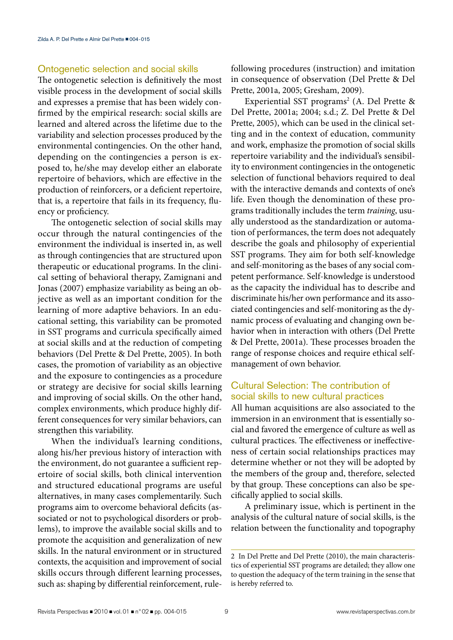#### Ontogenetic selection and social skills

The ontogenetic selection is definitively the most visible process in the development of social skills and expresses a premise that has been widely confirmed by the empirical research: social skills are learned and altered across the lifetime due to the variability and selection processes produced by the environmental contingencies. On the other hand, depending on the contingencies a person is exposed to, he/she may develop either an elaborate repertoire of behaviors, which are effective in the production of reinforcers, or a deficient repertoire, that is, a repertoire that fails in its frequency, fluency or proficiency.

The ontogenetic selection of social skills may occur through the natural contingencies of the environment the individual is inserted in, as well as through contingencies that are structured upon therapeutic or educational programs. In the clinical setting of behavioral therapy, Zamignani and Jonas (2007) emphasize variability as being an objective as well as an important condition for the learning of more adaptive behaviors. In an educational setting, this variability can be promoted in SST programs and curricula specifically aimed at social skills and at the reduction of competing behaviors (Del Prette & Del Prette, 2005). In both cases, the promotion of variability as an objective and the exposure to contingencies as a procedure or strategy are decisive for social skills learning and improving of social skills. On the other hand, complex environments, which produce highly different consequences for very similar behaviors, can strengthen this variability.

When the individual's learning conditions, along his/her previous history of interaction with the environment, do not guarantee a sufficient repertoire of social skills, both clinical intervention and structured educational programs are useful alternatives, in many cases complementarily. Such programs aim to overcome behavioral deficits (associated or not to psychological disorders or problems), to improve the available social skills and to promote the acquisition and generalization of new skills. In the natural environment or in structured contexts, the acquisition and improvement of social skills occurs through different learning processes, such as: shaping by differential reinforcement, rulefollowing procedures (instruction) and imitation in consequence of observation (Del Prette & Del Prette, 2001a, 2005; Gresham, 2009).

Experiential SST programs<sup>2</sup> (A. Del Prette & Del Prette, 2001a; 2004; s.d.; Z. Del Prette & Del Prette, 2005), which can be used in the clinical setting and in the context of education, community and work, emphasize the promotion of social skills repertoire variability and the individual's sensibility to environment contingencies in the ontogenetic selection of functional behaviors required to deal with the interactive demands and contexts of one's life. Even though the denomination of these programs traditionally includes the term *training*, usually understood as the standardization or automation of performances, the term does not adequately describe the goals and philosophy of experiential SST programs. They aim for both self-knowledge and self-monitoring as the bases of any social competent performance. Self-knowledge is understood as the capacity the individual has to describe and discriminate his/her own performance and its associated contingencies and self-monitoring as the dynamic process of evaluating and changing own behavior when in interaction with others (Del Prette & Del Prette, 2001a). These processes broaden the range of response choices and require ethical selfmanagement of own behavior.

## Cultural Selection: The contribution of social skills to new cultural practices

All human acquisitions are also associated to the immersion in an environment that is essentially social and favored the emergence of culture as well as cultural practices. The effectiveness or ineffectiveness of certain social relationships practices may determine whether or not they will be adopted by the members of the group and, therefore, selected by that group. These conceptions can also be specifically applied to social skills.

A preliminary issue, which is pertinent in the analysis of the cultural nature of social skills, is the relation between the functionality and topography

<sup>2</sup> In Del Prette and Del Prette (2010), the main characteristics of experiential SST programs are detailed; they allow one to question the adequacy of the term training in the sense that is hereby referred to.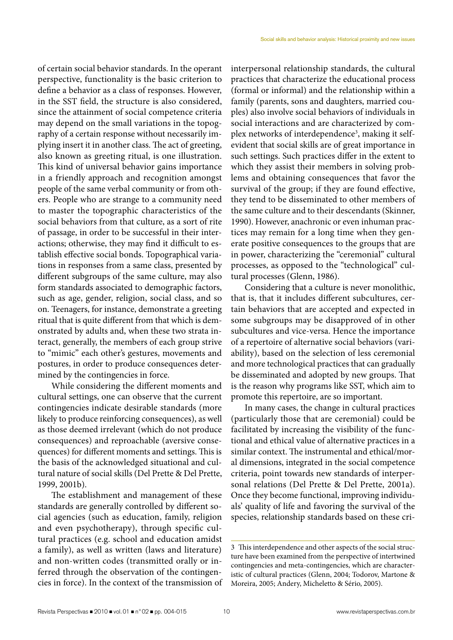of certain social behavior standards. In the operant perspective, functionality is the basic criterion to define a behavior as a class of responses. However, in the SST field, the structure is also considered, since the attainment of social competence criteria may depend on the small variations in the topography of a certain response without necessarily implying insert it in another class. The act of greeting, also known as greeting ritual, is one illustration. This kind of universal behavior gains importance in a friendly approach and recognition amongst people of the same verbal community or from others. People who are strange to a community need to master the topographic characteristics of the social behaviors from that culture, as a sort of rite of passage, in order to be successful in their interactions; otherwise, they may find it difficult to establish effective social bonds. Topographical variations in responses from a same class, presented by different subgroups of the same culture, may also form standards associated to demographic factors, such as age, gender, religion, social class, and so on. Teenagers, for instance, demonstrate a greeting ritual that is quite different from that which is demonstrated by adults and, when these two strata interact, generally, the members of each group strive to "mimic" each other's gestures, movements and postures, in order to produce consequences determined by the contingencies in force.

While considering the different moments and cultural settings, one can observe that the current contingencies indicate desirable standards (more likely to produce reinforcing consequences), as well as those deemed irrelevant (which do not produce consequences) and reproachable (aversive consequences) for different moments and settings. This is the basis of the acknowledged situational and cultural nature of social skills (Del Prette & Del Prette, 1999, 2001b).

The establishment and management of these standards are generally controlled by different social agencies (such as education, family, religion and even psychotherapy), through specific cultural practices (e.g. school and education amidst a family), as well as written (laws and literature) and non-written codes (transmitted orally or inferred through the observation of the contingencies in force). In the context of the transmission of interpersonal relationship standards, the cultural practices that characterize the educational process (formal or informal) and the relationship within a family (parents, sons and daughters, married couples) also involve social behaviors of individuals in social interactions and are characterized by complex networks of interdependence<sup>3</sup>, making it selfevident that social skills are of great importance in such settings. Such practices differ in the extent to which they assist their members in solving problems and obtaining consequences that favor the survival of the group; if they are found effective, they tend to be disseminated to other members of the same culture and to their descendants (Skinner, 1990). However, anachronic or even inhuman practices may remain for a long time when they generate positive consequences to the groups that are in power, characterizing the "ceremonial" cultural processes, as opposed to the "technological" cultural processes (Glenn, 1986).

Considering that a culture is never monolithic, that is, that it includes different subcultures, certain behaviors that are accepted and expected in some subgroups may be disapproved of in other subcultures and vice-versa. Hence the importance of a repertoire of alternative social behaviors (variability), based on the selection of less ceremonial and more technological practices that can gradually be disseminated and adopted by new groups. That is the reason why programs like SST, which aim to promote this repertoire, are so important.

In many cases, the change in cultural practices (particularly those that are ceremonial) could be facilitated by increasing the visibility of the functional and ethical value of alternative practices in a similar context. The instrumental and ethical/moral dimensions, integrated in the social competence criteria, point towards new standards of interpersonal relations (Del Prette & Del Prette, 2001a). Once they become functional, improving individuals' quality of life and favoring the survival of the species, relationship standards based on these cri-

<sup>3</sup> This interdependence and other aspects of the social structure have been examined from the perspective of intertwined contingencies and meta-contingencies, which are characteristic of cultural practices (Glenn, 2004; Todorov, Martone & Moreira, 2005; Andery, Micheletto & Sério, 2005).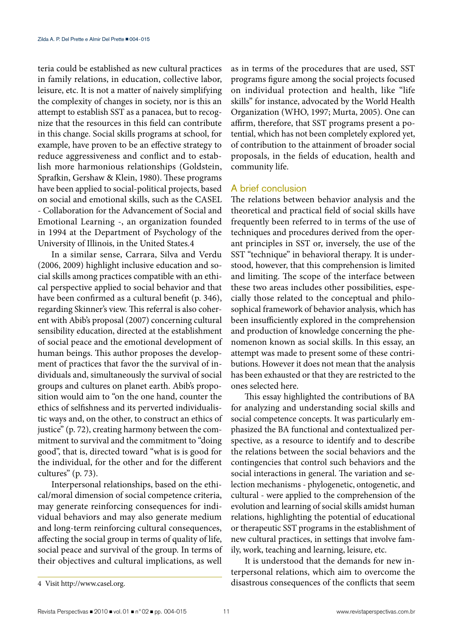teria could be established as new cultural practices in family relations, in education, collective labor, leisure, etc. It is not a matter of naively simplifying the complexity of changes in society, nor is this an attempt to establish SST as a panacea, but to recognize that the resources in this field can contribute in this change. Social skills programs at school, for example, have proven to be an effective strategy to reduce aggressiveness and conflict and to establish more harmonious relationships (Goldstein, Sprafkin, Gershaw & Klein, 1980). These programs have been applied to social-political projects, based on social and emotional skills, such as the CASEL - Collaboration for the Advancement of Social and Emotional Learning -, an organization founded in 1994 at the Department of Psychology of the University of Illinois, in the United States.4

In a similar sense, Carrara, Silva and Verdu (2006, 2009) highlight inclusive education and social skills among practices compatible with an ethical perspective applied to social behavior and that have been confirmed as a cultural benefit (p. 346), regarding Skinner's view. This referral is also coherent with Abib's proposal (2007) concerning cultural sensibility education, directed at the establishment of social peace and the emotional development of human beings. This author proposes the development of practices that favor the the survival of individuals and, simultaneously the survival of social groups and cultures on planet earth. Abib's proposition would aim to "on the one hand, counter the ethics of selfishness and its perverted individualistic ways and, on the other, to construct an ethics of justice" (p. 72), creating harmony between the commitment to survival and the commitment to "doing good", that is, directed toward "what is is good for the individual, for the other and for the different cultures" (p. 73).

Interpersonal relationships, based on the ethical/moral dimension of social competence criteria, may generate reinforcing consequences for individual behaviors and may also generate medium and long-term reinforcing cultural consequences, affecting the social group in terms of quality of life, social peace and survival of the group. In terms of their objectives and cultural implications, as well

as in terms of the procedures that are used, SST programs figure among the social projects focused on individual protection and health, like "life skills" for instance, advocated by the World Health Organization (WHO, 1997; Murta, 2005). One can affirm, therefore, that SST programs present a potential, which has not been completely explored yet, of contribution to the attainment of broader social proposals, in the fields of education, health and community life.

### A brief conclusion

The relations between behavior analysis and the theoretical and practical field of social skills have frequently been referred to in terms of the use of techniques and procedures derived from the operant principles in SST or, inversely, the use of the SST "technique" in behavioral therapy. It is understood, however, that this comprehension is limited and limiting. The scope of the interface between these two areas includes other possibilities, especially those related to the conceptual and philosophical framework of behavior analysis, which has been insufficiently explored in the comprehension and production of knowledge concerning the phenomenon known as social skills. In this essay, an attempt was made to present some of these contributions. However it does not mean that the analysis has been exhausted or that they are restricted to the ones selected here.

This essay highlighted the contributions of BA for analyzing and understanding social skills and social competence concepts. It was particularly emphasized the BA functional and contextualized perspective, as a resource to identify and to describe the relations between the social behaviors and the contingencies that control such behaviors and the social interactions in general. The variation and selection mechanisms - phylogenetic, ontogenetic, and cultural - were applied to the comprehension of the evolution and learning of social skills amidst human relations, highlighting the potential of educational or therapeutic SST programs in the establishment of new cultural practices, in settings that involve family, work, teaching and learning, leisure, etc.

It is understood that the demands for new interpersonal relations, which aim to overcome the disastrous consequences of the conflicts that seem

<sup>4</sup> Visit http://www.casel.org.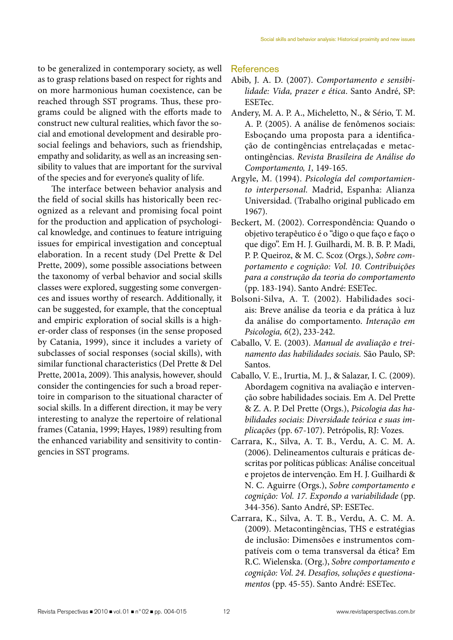to be generalized in contemporary society, as well as to grasp relations based on respect for rights and on more harmonious human coexistence, can be reached through SST programs. Thus, these programs could be aligned with the efforts made to construct new cultural realities, which favor the social and emotional development and desirable prosocial feelings and behaviors, such as friendship, empathy and solidarity, as well as an increasing sensibility to values that are important for the survival of the species and for everyone's quality of life.

The interface between behavior analysis and the field of social skills has historically been recognized as a relevant and promising focal point for the production and application of psychological knowledge, and continues to feature intriguing issues for empirical investigation and conceptual elaboration. In a recent study (Del Prette & Del Prette, 2009), some possible associations between the taxonomy of verbal behavior and social skills classes were explored, suggesting some convergences and issues worthy of research. Additionally, it can be suggested, for example, that the conceptual and empiric exploration of social skills is a higher-order class of responses (in the sense proposed by Catania, 1999), since it includes a variety of subclasses of social responses (social skills), with similar functional characteristics (Del Prette & Del Prette, 2001a, 2009). This analysis, however, should consider the contingencies for such a broad repertoire in comparison to the situational character of social skills. In a different direction, it may be very interesting to analyze the repertoire of relational frames (Catania, 1999; Hayes, 1989) resulting from the enhanced variability and sensitivity to contingencies in SST programs.

#### References

- Abib, J. A. D. (2007). *Comportamento e sensibilidade: Vida, prazer e ética*. Santo André, SP: ESETec.
- Andery, M. A. P. A., Micheletto, N., & Sério, T. M. A. P. (2005). A análise de fenômenos sociais: Esboçando uma proposta para a identificação de contingências entrelaçadas e metacontingências. *Revista Brasileira de Análise do Comportamento, 1,* 149-165.
- Argyle, M. (1994). *Psicología del comportamiento interpersonal.* Madrid, Espanha: Alianza Universidad. (Trabalho original publicado em 1967).
- Beckert, M. (2002). Correspondência: Quando o objetivo terapêutico é o "digo o que faço e faço o que digo". Em H. J. Guilhardi, M. B. B. P. Madi, P. P. Queiroz, & M. C. Scoz (Orgs.), *Sobre comportamento e cognição: Vol. 10. Contribuições para a construção da teoria do comportamento* (pp. 183-194). Santo André: ESETec.
- Bolsoni-Silva, A. T. (2002). Habilidades sociais: Breve análise da teoria e da prática à luz da análise do comportamento. *Interação em Psicologia, 6*(2), 233-242.
- Caballo, V. E. (2003). *Manual de avaliação e treinamento das habilidades sociais.* São Paulo, SP: Santos.
- Caballo, V. E., Irurtia, M. J., & Salazar, I. C. (2009). Abordagem cognitiva na avaliação e intervenção sobre habilidades sociais. Em A. Del Prette & Z. A. P. Del Prette (Orgs.), *Psicologia das habilidades sociais: Diversidade teórica e suas implicações* (pp. 67-107). Petrópolis, RJ: Vozes.
- Carrara, K., Silva, A. T. B., Verdu, A. C. M. A. (2006). Delineamentos culturais e práticas descritas por políticas públicas: Análise conceitual e projetos de intervenção. Em H. J. Guilhardi & N. C. Aguirre (Orgs.), *Sobre comportamento e cognição: Vol. 17. Expondo a variabilidade* (pp. 344-356). Santo André, SP: ESETec.
- Carrara, K., Silva, A. T. B., Verdu, A. C. M. A. (2009). Metacontingências, THS e estratégias de inclusão: Dimensões e instrumentos compatíveis com o tema transversal da ética? Em R.C. Wielenska. (Org.), *Sobre comportamento e cognição: Vol. 24. Desafios, soluções e questionamentos* (pp. 45-55). Santo André: ESETec.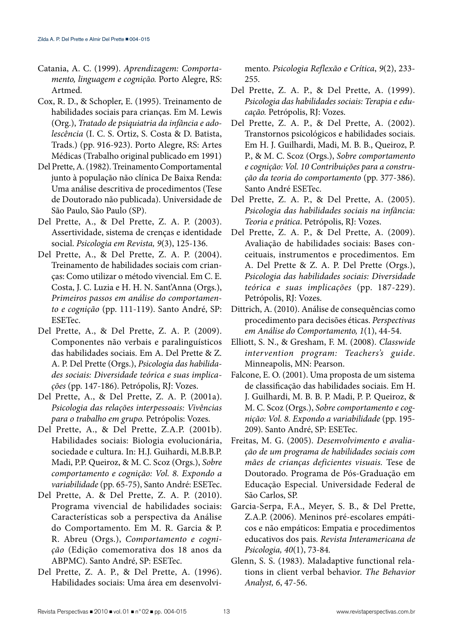- Catania, A. C. (1999). *Aprendizagem: Comportamento, linguagem e cognição.* Porto Alegre, RS: Artmed.
- Cox, R. D., & Schopler, E. (1995). Treinamento de habilidades sociais para crianças. Em M. Lewis (Org.), *Tratado de psiquiatria da infância e adolescência* (I. C. S. Ortiz, S. Costa & D. Batista, Trads.) (pp. 916-923). Porto Alegre, RS: Artes Médicas (Trabalho original publicado em 1991)
- Del Prette, A. (1982). Treinamento Comportamental junto à população não clínica De Baixa Renda: Uma análise descritiva de procedimentos (Tese de Doutorado não publicada). Universidade de São Paulo, São Paulo (SP).
- Del Prette, A., & Del Prette, Z. A. P. (2003). Assertividade, sistema de crenças e identidade social. *Psicologia em Revista, 9*(3), 125-136.
- Del Prette, A., & Del Prette, Z. A. P. (2004). Treinamento de habilidades sociais com crianças: Como utilizar o método vivencial. Em C. E. Costa, J. C. Luzia e H. H. N. Sant'Anna (Orgs.), *Primeiros passos em análise do comportamento e cognição* (pp. 111-119). Santo André, SP: ESETec.
- Del Prette, A., & Del Prette, Z. A. P. (2009). Componentes não verbais e paralinguísticos das habilidades sociais. Em A. Del Prette & Z. A. P. Del Prette (Orgs.), *Psicologia das habilidades sociais: Diversidade teórica e suas implicações* (pp. 147-186). Petrópolis, RJ: Vozes.
- Del Prette, A., & Del Prette, Z. A. P. (2001a). *Psicologia das relações interpessoais: Vivências para o trabalho em grupo.* Petrópolis: Vozes.
- Del Prette, A., & Del Prette, Z.A.P. (2001b). Habilidades sociais: Biologia evolucionária, sociedade e cultura. In: H.J. Guihardi, M.B.B.P. Madi, P.P. Queiroz, & M. C. Scoz (Orgs.), *Sobre comportamento e cognição: Vol. 8. Expondo a variabilidade* (pp. 65-75), Santo André: ESETec.
- Del Prette, A. & Del Prette, Z. A. P. (2010). Programa vivencial de habilidades sociais: Características sob a perspectiva da Análise do Comportamento. Em M. R. Garcia & P. R. Abreu (Orgs.), *Comportamento e cognição* (Edição comemorativa dos 18 anos da ABPMC). Santo André, SP: ESETec.
- Del Prette, Z. A. P., & Del Prette, A. (1996). Habilidades sociais: Uma área em desenvolvi-

mento. *Psicologia Reflexão e Crítica*, *9*(2), 233- 255.

- Del Prette, Z. A. P., & Del Prette, A. (1999). *Psicologia das habilidades sociais: Terapia e educação.* Petrópolis, RJ: Vozes.
- Del Prette, Z. A. P., & Del Prette, A. (2002). Transtornos psicológicos e habilidades sociais. Em H. J. Guilhardi, Madi, M. B. B., Queiroz, P. P., & M. C. Scoz (Orgs.), *Sobre comportamento e cognição: Vol. 10 Contribuições para a construção da teoria do comportamento* (pp. 377-386). Santo André ESETec.
- Del Prette, Z. A. P., & Del Prette, A. (2005). *Psicologia das habilidades sociais na infância: Teoria e prática*. Petrópolis, RJ: Vozes.
- Del Prette, Z. A. P., & Del Prette, A. (2009). Avaliação de habilidades sociais: Bases conceituais, instrumentos e procedimentos. Em A. Del Prette & Z. A. P. Del Prette (Orgs.), *Psicologia das habilidades sociais: Diversidade teórica e suas implicações* (pp. 187-229). Petrópolis, RJ: Vozes.
- Dittrich, A. (2010). Análise de consequências como procedimento para decisões éticas. *Perspectivas em Análise do Comportamento, 1*(1), 44-54.
- Elliott, S. N., & Gresham, F. M. (2008). *Classwide intervention program: Teachers's guide*. Minneapolis, MN: Pearson.
- Falcone, E. O. (2001). Uma proposta de um sistema de classificação das habilidades sociais. Em H. J. Guilhardi, M. B. B. P. Madi, P. P. Queiroz, & M. C. Scoz (Orgs.), *Sobre comportamento e cognição: Vol. 8. Expondo a variabilidade* (pp. 195- 209). Santo André, SP: ESETec.
- Freitas, M. G. (2005). *Desenvolvimento e avaliação de um programa de habilidades sociais com mães de crianças deficientes visuais.* Tese de Doutorado. Programa de Pós-Graduação em Educação Especial. Universidade Federal de São Carlos, SP.
- Garcia-Serpa, F.A., Meyer, S. B., & Del Prette, Z.A.P. (2006). Meninos pré-escolares empáticos e não empáticos: Empatia e procedimentos educativos dos pais. *Revista Interamericana de Psicologia, 40*(1), 73-84*.*
- Glenn, S. S. (1983). Maladaptive functional relations in client verbal behavior. *The Behavior Analyst, 6*, 47-56.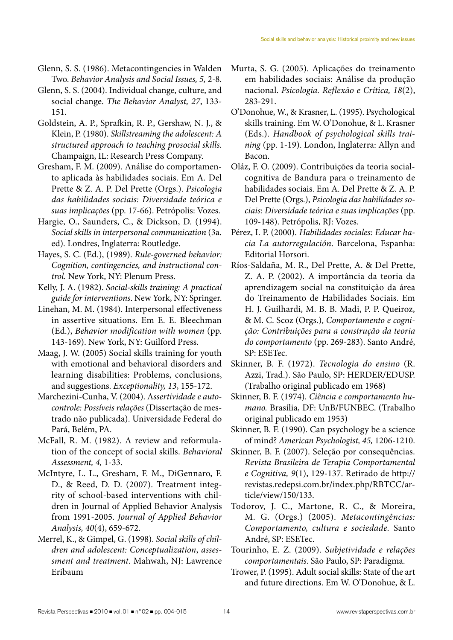- Glenn, S. S. (1986). Metacontingencies in Walden Two. *Behavior Analysis and Social Issues, 5,* 2-8.
- Glenn, S. S. (2004). Individual change, culture, and social change. *The Behavior Analyst, 27*, 133- 151.
- Goldstein, A. P., Sprafkin, R. P., Gershaw, N. J., & Klein, P. (1980). *Skillstreaming the adolescent: A structured approach to teaching prosocial skills.* Champaign, IL: Research Press Company.
- Gresham, F. M. (2009). Análise do comportamento aplicada às habilidades sociais. Em A. Del Prette & Z. A. P. Del Prette (Orgs.). *Psicologia das habilidades sociais: Diversidade teórica e suas implicações* (pp. 17-66). Petrópolis: Vozes.
- Hargie, O., Saunders, C., & Dickson, D. (1994). *Social skills in interpersonal communication* (3a. ed)*.* Londres, Inglaterra: Routledge.
- Hayes, S. C. (Ed.), (1989). *Rule-governed behavior: Cognition, contingencies, and instructional control.* New York, NY: Plenum Press.
- Kelly, J. A. (1982). *Social-skills training: A practical guide for interventions*. New York, NY: Springer.
- Linehan, M. M. (1984). Interpersonal effectiveness in assertive situations. Em E. E. Bleechman (Ed.), *Behavior modification with women* (pp. 143-169). New York, NY: Guilford Press.
- Maag, J. W. (2005) Social skills training for youth with emotional and behavioral disorders and learning disabilities: Problems, conclusions, and suggestions. *Exceptionality, 13*, 155-172.
- Marchezini-Cunha, V. (2004). A*ssertividade e autocontrole: Possíveis relações* (Dissertação de mestrado não publicada). Universidade Federal do Pará, Belém, PA.
- McFall, R. M. (1982). A review and reformulation of the concept of social skills. *Behavioral Assessment, 4,* 1-33.
- McIntyre, L. L., Gresham, F. M., DiGennaro, F. D., & Reed, D. D. (2007). Treatment integrity of school-based interventions with children in Journal of Applied Behavior Analysis from 1991-2005. *Journal of Applied Behavior Analysis, 40*(4), 659-672.
- Merrel, K., & Gimpel, G. (1998). *Social skills of children and adolescent: Conceptualization*, *assessment and treatment*. Mahwah, NJ: Lawrence Eribaum
- Murta, S. G. (2005). Aplicações do treinamento em habilidades sociais: Análise da produção nacional. *Psicologia. Reflexão e Crítica, 18*(2), 283-291.
- O'Donohue, W., & Krasner, L. (1995). Psychological skills training. Em W. O'Donohue, & L. Krasner (Eds.). *Handbook of psychological skills training* (pp. 1-19). London, Inglaterra: Allyn and Bacon.
- Oláz, F. O. (2009). Contribuições da teoria socialcognitiva de Bandura para o treinamento de habilidades sociais. Em A. Del Prette & Z. A. P. Del Prette (Orgs.), *Psicologia das habilidades sociais: Diversidade teórica e suas implicações* (pp. 109-148). Petrópolis, RJ: Vozes.
- Pérez, I. P. (2000). *Habilidades sociales: Educar hacia La autorregulación*. Barcelona, Espanha: Editorial Horsori.
- Ríos-Saldaña, M. R., Del Prette, A. & Del Prette, Z. A. P. (2002). A importância da teoria da aprendizagem social na constituição da área do Treinamento de Habilidades Sociais. Em H. J. Guilhardi, M. B. B. Madi, P. P. Queiroz, & M. C. Scoz (Orgs.), *Comportamento e cognição: Contribuições para a construção da teoria do comportamento* (pp. 269-283). Santo André, SP: ESETec.
- Skinner, B. F. (1972). *Tecnologia do ensino* (R. Azzi, Trad.). São Paulo, SP: HERDER/EDUSP. (Trabalho original publicado em 1968)
- Skinner, B. F. (1974). *Ciência e comportamento humano.* Brasília, DF: UnB/FUNBEC. (Trabalho original publicado em 1953)
- Skinner, B. F. (1990). Can psychology be a science of mind? *American Psychologist, 45,* 1206-1210.
- Skinner, B. F. (2007). Seleção por consequências. *Revista Brasileira de Terapia Comportamental e Cognitiva, 9*(1), 129-137. Retirado de http:// revistas.redepsi.com.br/index.php/RBTCC/article/view/150/133.
- Todorov, J. C., Martone, R. C., & Moreira, M. G. (Orgs.) (2005). *Metacontingências: Comportamento, cultura e sociedade.* Santo André, SP: ESETec.
- Tourinho, E. Z. (2009). *Subjetividade e relações comportamentais*. São Paulo, SP: Paradigma.
- Trower, P. (1995). Adult social skills: State of the art and future directions. Em W. O'Donohue, & L.